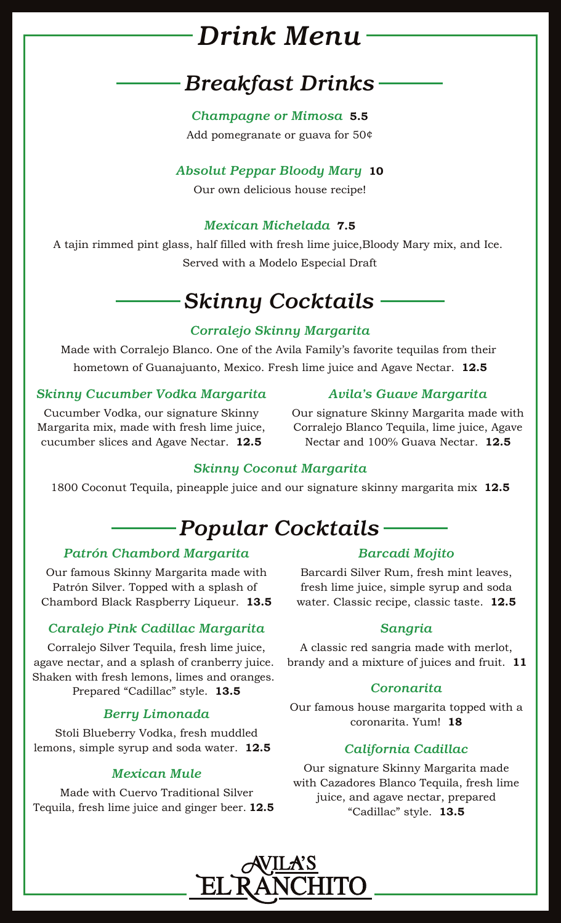# *Avila's El Ranchito Brunch Menu Drink Menu*

### *Mexican Dishes*  $\mathcal P$  are served with your choice of  $\mathcal P$  are served with your choice of  $\mathcal P$ *Breakfast Drinks*

*Quesadilla Egg-celente Champagne or Mimosa* **5.5** Add pomegranate or guava for 50¢

### *Absolut Peppar Bloody Mary* **10**

*Breakfast Burrito* Our own delicious house recipe!

### Garnished with guacamole and sour cream. **16.5** *Mexican Michelada* **7.5**

A tajin rimmed pint glass, half filled with fresh lime juice,Bloody Mary mix, and Ice. Served with a Modelo Especial Draft

### *Machaca con Huevos* Eggs scrambled with shredded chicken or beef, fresh bell peppers, onions and tomatoes. *Skinny Cocktails*

## Served with Warm Tortillas **15.5** *Corralejo Skinny Margarita*

Made with Corralejo Blanco. One of the Avila Family's favorite tequilas from their hometown of Guanajuanto, Mexico. Fresh lime juice and Agave Nectar.  $\,$  **12.5**  $\,$ *ils*<br>
<br>
17.<br>
17.<br>
17.5<br>
17.5<br>
17.5<br>
18.5

### *Skinny Cucumber Vodka Margarita*

### *Avila's Guave Margarita*

Cucumber Vodka, our signature Skinny Margarita mix, made with fresh lime juice, cucumber slices and Agave Nectar. **12.5**

Cucumber Vodka, our signature Skinny Our signature Skinny Margarita made with , made with fresh lime juice, Corralejo Blanco Tequila, lime juice, Agave Nectar and 100% Guava Nectar. **12.5**

### ${\bf Skinny}$  Coconut Margarita

Ime juice, Aga (100% Guava Nectar. 12.5 Interpret with fresh lime juice, Margarita mix and 100% Guava Nectar. 12.5<br>1800 Coconut Tequila, pineapple juice and our signature skinny margarita mix 12.5

# ———— Popular Cocktails ———

## Covered in Salsa Ranchera and melted cheese. **15.5** *Patrón Chambord Margarita*

Our famous Skinny Margarita made with Barc Chambord Black Raspberry Liqueur. **13.5** water. Classi Patrón Silver. Topped with a splash of

### *Caralejo Pink Cadillac Margarita*

*Kids Breakfast* Corralejo Silver Tequila, fresh lime juice, agave nectar, and a splash of cranberry juice. Shaken with fresh lemons, limes and oranges. Prepared "Cadillac" style. **13.5**

### *Berry Limonada*

*Mini Breakfast Burrito* lemons, simple syrup and soda water. **12.5** Stoli Blueberry Vodka, fresh muddled

### *Mexican Mule*

*Menudo* **14** Tequila, fresh lime juice and ginger beer. **12.5** *Menudo* **14.5** Made with Cuervo Traditional Silver

## *Barcadi Mojito* **16**

rón Silver. Topped with a splash of fresh lime juice, simple syrup and soda Barcardi Silver Rum, fresh mint leaves, water. Classic recipe, classic taste. **12.5 20.5**

### *Sangria*

tar, and a splash of cranberry juice. brandy and a mixture of juices and fruit. **11** A classic red sangria made with merlot,

### *Coronarita*

*Mini Egg Quesadilla* Kids Quesadilla filled with scrambled eggs and cheese. coronarita. Yum! **18** Our famous house margarita topped with a

### *California Cadillac*

n Mule<br> **Eurrito film burrito film en diale**<br>
Our signature Skinny Margarita made with Cazadores Blanco Tequila, fresh lime juice, and agave nectar, prepared "Cadillac" style. **13.5**